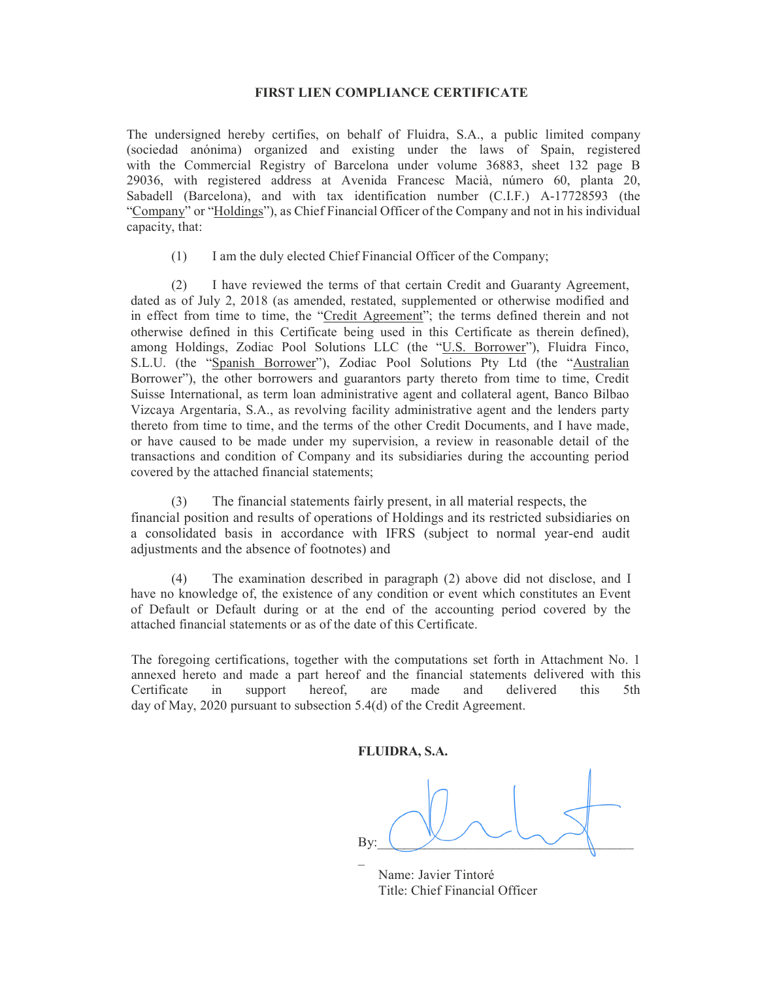## FIRST LIEN COMPLIANCE CERTIFICATE

The undersigned hereby certifies, on behalf of Fluidra, S.A., a public limited company (sociedad anónima) organized and existing under the laws of Spain, registered with the Commercial Registry of Barcelona under volume 36883, sheet 132 page B 29036, with registered address at Avenida Francesc Macià, número 60, planta 20, Sabadell (Barcelona), and with tax identification number (C.I.F.) A-17728593 (the "Company" or "Holdings"), as Chief Financial Officer of the Company and not in his individual capacity, that:

(1) I am the duly elected Chief Financial Officer of the Company;

(2) I have reviewed the terms of that certain Credit and Guaranty Agreement, dated as of July 2, 2018 (as amended, restated, supplemented or otherwise modified and in effect from time to time, the "Credit Agreement"; the terms defined therein and not otherwise defined in this Certificate being used in this Certificate as therein defined), among Holdings, Zodiac Pool Solutions LLC (the "U.S. Borrower"), Fluidra Finco, S.L.U. (the "Spanish Borrower"), Zodiac Pool Solutions Pty Ltd (the "Australian Borrower"), the other borrowers and guarantors party thereto from time to time, Credit Suisse International, as term loan administrative agent and collateral agent, Banco Bilbao Vizcaya Argentaria, S.A., as revolving facility administrative agent and the lenders party thereto from time to time, and the terms of the other Credit Documents, and I have made, or have caused to be made under my supervision, a review in reasonable detail of the transactions and condition of Company and its subsidiaries during the accounting period covered by the attached financial statements;

(3) The financial statements fairly present, in all material respects, the financial position and results of operations of Holdings and its restricted subsidiaries on a consolidated basis in accordance with IFRS (subject to normal year-end audit adjustments and the absence of footnotes) and

(4) The examination described in paragraph (2) above did not disclose, and I have no knowledge of, the existence of any condition or event which constitutes an Event of Default or Default during or at the end of the accounting period covered by the attached financial statements or as of the date of this Certificate.

The foregoing certifications, together with the computations set forth in Attachment No. 1 annexed hereto and made a part hereof and the financial statements delivered with this Certificate in support hereof, are made and delivered this 5th day of May, 2020 pursuant to subsection 5.4(d) of the Credit Agreement.

FLUIDRA, S.A.

By:  $\mathcal{L}(\mathcal{L})$ 

 Name: Javier Tintoré Title: Chief Financial Officer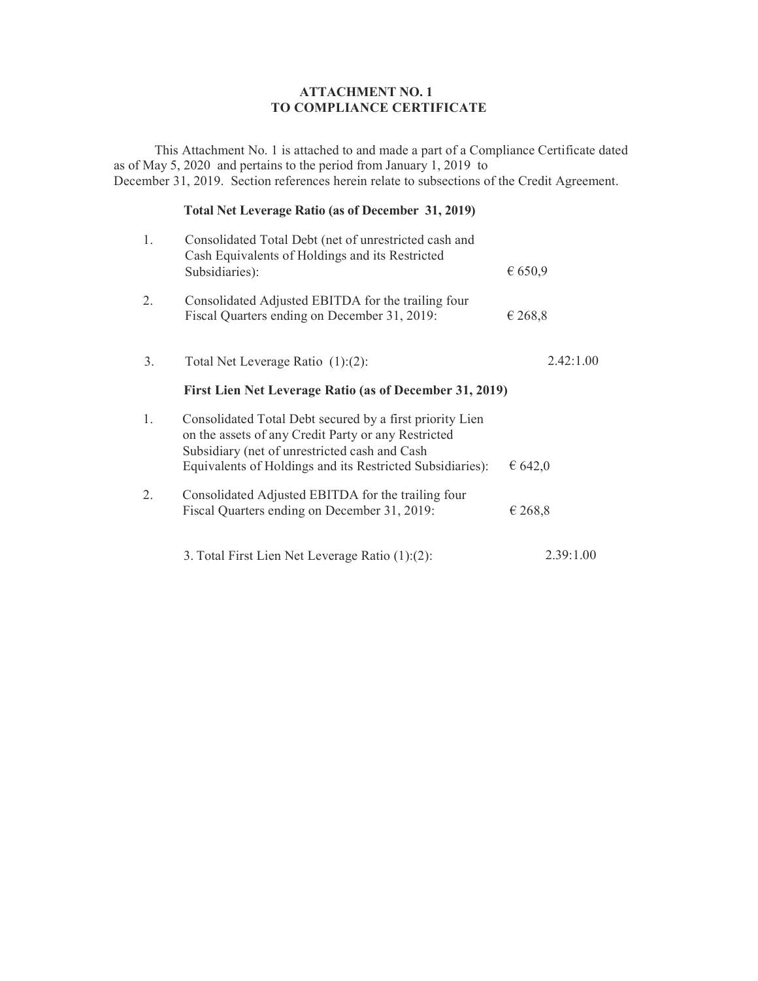## ATTACHMENT NO. 1 TO COMPLIANCE CERTIFICATE

This Attachment No. 1 is attached to and made a part of a Compliance Certificate dated as of May 5, 2020 and pertains to the period from January 1, 2019 to December 31, 2019. Section references herein relate to subsections of the Credit Agreement.

## Total Net Leverage Ratio (as of December 31, 2019)

| 1. | Consolidated Total Debt (net of unrestricted cash and<br>Cash Equivalents of Holdings and its Restricted<br>Subsidiaries):                                                                                                    | € 650,9   |
|----|-------------------------------------------------------------------------------------------------------------------------------------------------------------------------------------------------------------------------------|-----------|
| 2. | Consolidated Adjusted EBITDA for the trailing four<br>Fiscal Quarters ending on December 31, 2019:                                                                                                                            | € 268,8   |
| 3. | Total Net Leverage Ratio $(1):(2)$ :                                                                                                                                                                                          | 2.42:1.00 |
|    | First Lien Net Leverage Ratio (as of December 31, 2019)                                                                                                                                                                       |           |
| 1. | Consolidated Total Debt secured by a first priority Lien<br>on the assets of any Credit Party or any Restricted<br>Subsidiary (net of unrestricted cash and Cash<br>Equivalents of Holdings and its Restricted Subsidiaries): | € $642,0$ |
| 2. | Consolidated Adjusted EBITDA for the trailing four<br>Fiscal Quarters ending on December 31, 2019:                                                                                                                            | € 268,8   |
|    | 3. Total First Lien Net Leverage Ratio (1):(2):                                                                                                                                                                               | 2.39:1.00 |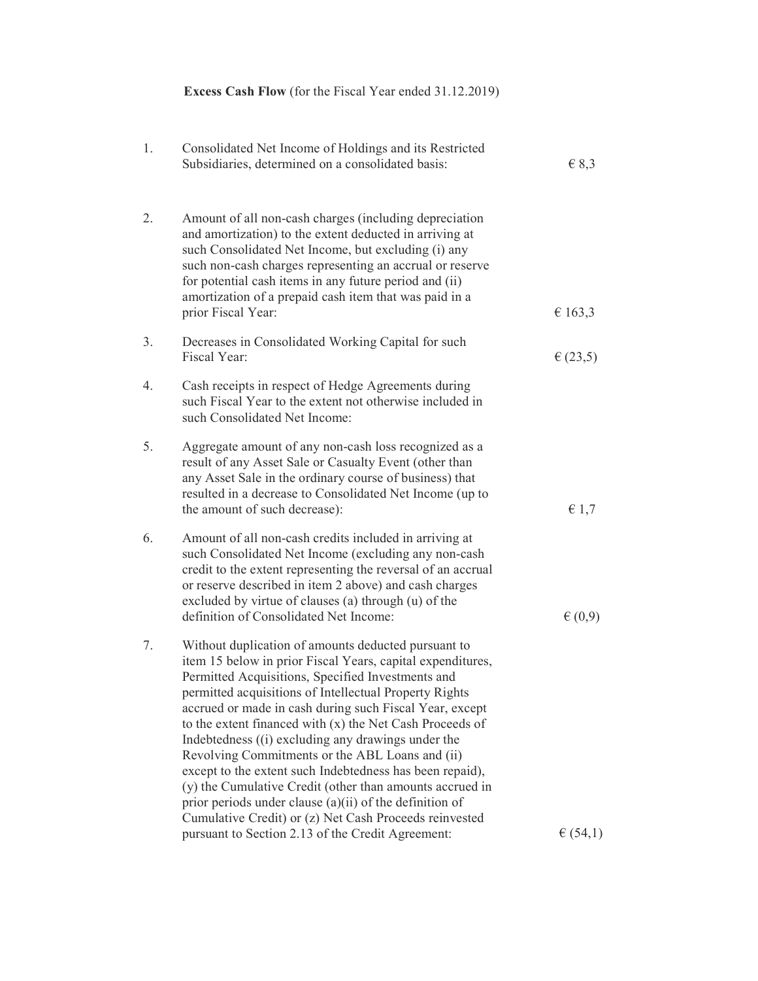|    | Excess Cash Flow (for the Fiscal Year ended 31.12.2019)                                                                                                                                                                                                                                                                                                                                                                                                                                                                                                                                                                                                                                                                                                            |                |
|----|--------------------------------------------------------------------------------------------------------------------------------------------------------------------------------------------------------------------------------------------------------------------------------------------------------------------------------------------------------------------------------------------------------------------------------------------------------------------------------------------------------------------------------------------------------------------------------------------------------------------------------------------------------------------------------------------------------------------------------------------------------------------|----------------|
| 1. | Consolidated Net Income of Holdings and its Restricted<br>Subsidiaries, determined on a consolidated basis:                                                                                                                                                                                                                                                                                                                                                                                                                                                                                                                                                                                                                                                        | $\in$ 8,3      |
| 2. | Amount of all non-cash charges (including depreciation<br>and amortization) to the extent deducted in arriving at<br>such Consolidated Net Income, but excluding (i) any<br>such non-cash charges representing an accrual or reserve<br>for potential cash items in any future period and (ii)<br>amortization of a prepaid cash item that was paid in a<br>prior Fiscal Year:                                                                                                                                                                                                                                                                                                                                                                                     | € 163,3        |
| 3. | Decreases in Consolidated Working Capital for such<br>Fiscal Year:                                                                                                                                                                                                                                                                                                                                                                                                                                                                                                                                                                                                                                                                                                 | $\in (23,5)$   |
| 4. | Cash receipts in respect of Hedge Agreements during<br>such Fiscal Year to the extent not otherwise included in<br>such Consolidated Net Income:                                                                                                                                                                                                                                                                                                                                                                                                                                                                                                                                                                                                                   |                |
| 5. | Aggregate amount of any non-cash loss recognized as a<br>result of any Asset Sale or Casualty Event (other than<br>any Asset Sale in the ordinary course of business) that<br>resulted in a decrease to Consolidated Net Income (up to<br>the amount of such decrease):                                                                                                                                                                                                                                                                                                                                                                                                                                                                                            | $\epsilon$ 1,7 |
| 6. | Amount of all non-cash credits included in arriving at<br>such Consolidated Net Income (excluding any non-cash<br>credit to the extent representing the reversal of an accrual<br>or reserve described in item 2 above) and cash charges<br>excluded by virtue of clauses (a) through (u) of the<br>definition of Consolidated Net Income:                                                                                                                                                                                                                                                                                                                                                                                                                         | $\in (0,9)$    |
| 7. | Without duplication of amounts deducted pursuant to<br>item 15 below in prior Fiscal Years, capital expenditures,<br>Permitted Acquisitions, Specified Investments and<br>permitted acquisitions of Intellectual Property Rights<br>accrued or made in cash during such Fiscal Year, except<br>to the extent financed with (x) the Net Cash Proceeds of<br>Indebtedness ((i) excluding any drawings under the<br>Revolving Commitments or the ABL Loans and (ii)<br>except to the extent such Indebtedness has been repaid),<br>(y) the Cumulative Credit (other than amounts accrued in<br>prior periods under clause (a)(ii) of the definition of<br>Cumulative Credit) or (z) Net Cash Proceeds reinvested<br>pursuant to Section 2.13 of the Credit Agreement: | $\in (54,1)$   |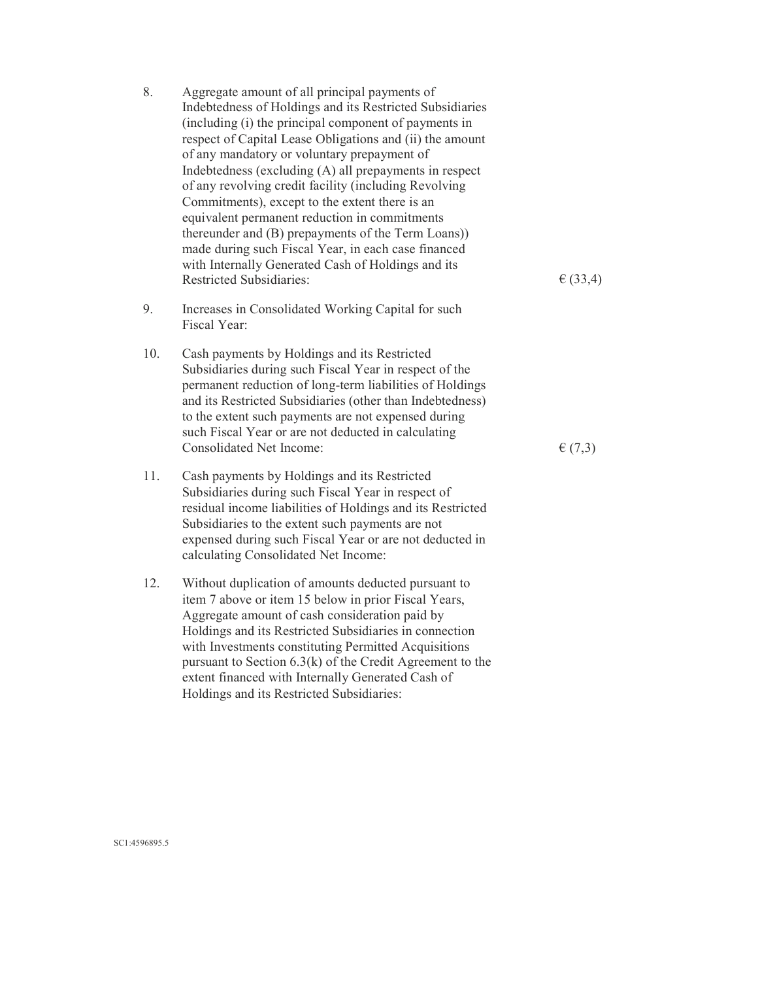| 8.  | Aggregate amount of all principal payments of<br>Indebtedness of Holdings and its Restricted Subsidiaries<br>(including (i) the principal component of payments in<br>respect of Capital Lease Obligations and (ii) the amount<br>of any mandatory or voluntary prepayment of<br>Indebtedness (excluding (A) all prepayments in respect<br>of any revolving credit facility (including Revolving<br>Commitments), except to the extent there is an<br>equivalent permanent reduction in commitments<br>thereunder and (B) prepayments of the Term Loans))<br>made during such Fiscal Year, in each case financed<br>with Internally Generated Cash of Holdings and its<br><b>Restricted Subsidiaries:</b> | E(33,4)     |
|-----|-----------------------------------------------------------------------------------------------------------------------------------------------------------------------------------------------------------------------------------------------------------------------------------------------------------------------------------------------------------------------------------------------------------------------------------------------------------------------------------------------------------------------------------------------------------------------------------------------------------------------------------------------------------------------------------------------------------|-------------|
| 9.  | Increases in Consolidated Working Capital for such<br>Fiscal Year:                                                                                                                                                                                                                                                                                                                                                                                                                                                                                                                                                                                                                                        |             |
| 10. | Cash payments by Holdings and its Restricted<br>Subsidiaries during such Fiscal Year in respect of the<br>permanent reduction of long-term liabilities of Holdings<br>and its Restricted Subsidiaries (other than Indebtedness)<br>to the extent such payments are not expensed during<br>such Fiscal Year or are not deducted in calculating<br>Consolidated Net Income:                                                                                                                                                                                                                                                                                                                                 | $\in (7,3)$ |
| 11. | Cash payments by Holdings and its Restricted<br>Subsidiaries during such Fiscal Year in respect of<br>residual income liabilities of Holdings and its Restricted<br>Subsidiaries to the extent such payments are not<br>expensed during such Fiscal Year or are not deducted in<br>calculating Consolidated Net Income:                                                                                                                                                                                                                                                                                                                                                                                   |             |
| 12. | Without duplication of amounts deducted pursuant to<br>item 7 above or item 15 below in prior Fiscal Years,<br>Aggregate amount of cash consideration paid by<br>Holdings and its Restricted Subsidiaries in connection                                                                                                                                                                                                                                                                                                                                                                                                                                                                                   |             |

with Investments constituting Permitted Acquisitions pursuant to Section 6.3(k) of the Credit Agreement to the extent financed with Internally Generated Cash of

Holdings and its Restricted Subsidiaries:

SC1:4596895.5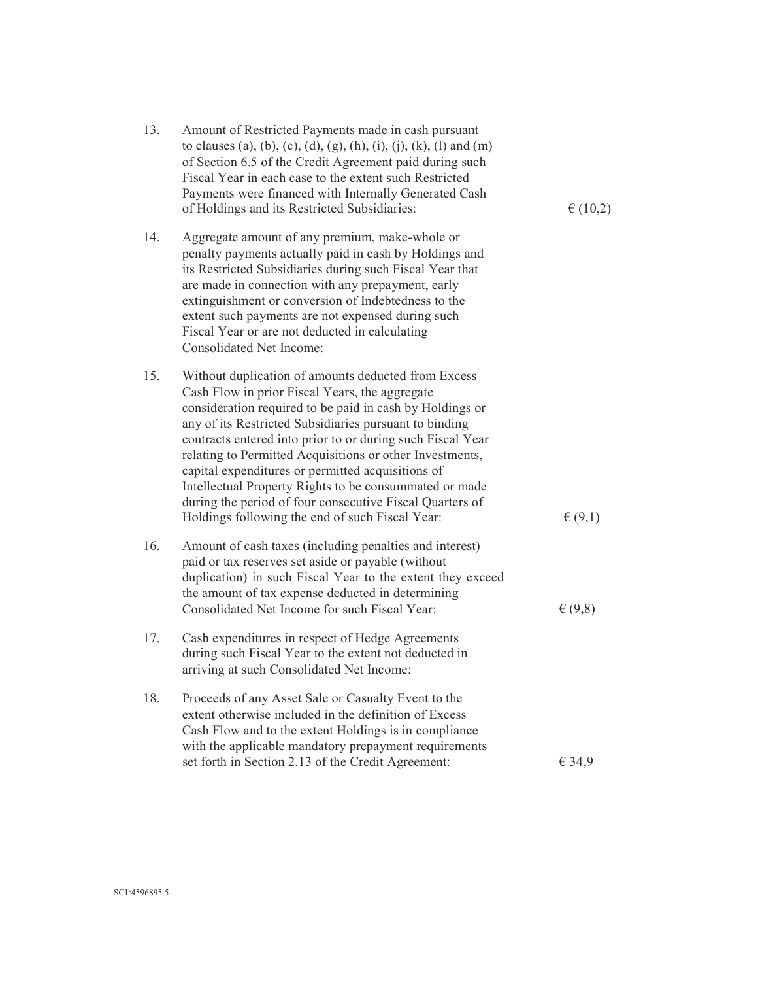| 13. | Amount of Restricted Payments made in cash pursuant<br>to clauses (a), (b), (c), (d), (g), (h), (i), (j), (k), (l) and (m)<br>of Section 6.5 of the Credit Agreement paid during such<br>Fiscal Year in each case to the extent such Restricted<br>Payments were financed with Internally Generated Cash<br>of Holdings and its Restricted Subsidiaries:                                                                                                                                                                                                                            | $\in (10,2)$ |
|-----|-------------------------------------------------------------------------------------------------------------------------------------------------------------------------------------------------------------------------------------------------------------------------------------------------------------------------------------------------------------------------------------------------------------------------------------------------------------------------------------------------------------------------------------------------------------------------------------|--------------|
| 14. | Aggregate amount of any premium, make-whole or<br>penalty payments actually paid in cash by Holdings and<br>its Restricted Subsidiaries during such Fiscal Year that<br>are made in connection with any prepayment, early<br>extinguishment or conversion of Indebtedness to the<br>extent such payments are not expensed during such<br>Fiscal Year or are not deducted in calculating<br><b>Consolidated Net Income:</b>                                                                                                                                                          |              |
| 15. | Without duplication of amounts deducted from Excess<br>Cash Flow in prior Fiscal Years, the aggregate<br>consideration required to be paid in cash by Holdings or<br>any of its Restricted Subsidiaries pursuant to binding<br>contracts entered into prior to or during such Fiscal Year<br>relating to Permitted Acquisitions or other Investments,<br>capital expenditures or permitted acquisitions of<br>Intellectual Property Rights to be consummated or made<br>during the period of four consecutive Fiscal Quarters of<br>Holdings following the end of such Fiscal Year: | E(9,1)       |
| 16. | Amount of cash taxes (including penalties and interest)<br>paid or tax reserves set aside or payable (without<br>duplication) in such Fiscal Year to the extent they exceed<br>the amount of tax expense deducted in determining<br>Consolidated Net Income for such Fiscal Year:                                                                                                                                                                                                                                                                                                   | E(9,8)       |
| 17. | Cash expenditures in respect of Hedge Agreements<br>during such Fiscal Year to the extent not deducted in<br>arriving at such Consolidated Net Income:                                                                                                                                                                                                                                                                                                                                                                                                                              |              |
| 18. | Proceeds of any Asset Sale or Casualty Event to the<br>extent otherwise included in the definition of Excess<br>Cash Flow and to the extent Holdings is in compliance<br>with the applicable mandatory prepayment requirements<br>set forth in Section 2.13 of the Credit Agreement:                                                                                                                                                                                                                                                                                                | € 34,9       |